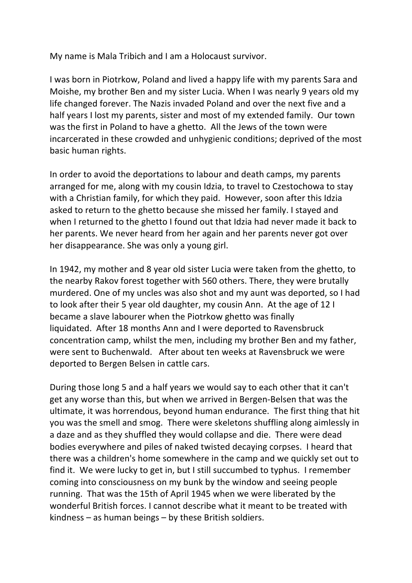My name is Mala Tribich and I am a Holocaust survivor.

I was born in Piotrkow, Poland and lived a happy life with my parents Sara and Moishe, my brother Ben and my sister Lucia. When I was nearly 9 years old my life changed forever. The Nazis invaded Poland and over the next five and a half years I lost my parents, sister and most of my extended family. Our town was the first in Poland to have a ghetto. All the Jews of the town were incarcerated in these crowded and unhygienic conditions; deprived of the most basic human rights.

In order to avoid the deportations to labour and death camps, my parents arranged for me, along with my cousin Idzia, to travel to Czestochowa to stay with a Christian family, for which they paid. However, soon after this Idzia asked to return to the ghetto because she missed her family. I stayed and when I returned to the ghetto I found out that Idzia had never made it back to her parents. We never heard from her again and her parents never got over her disappearance. She was only a young girl.

In 1942, my mother and 8 year old sister Lucia were taken from the ghetto, to the nearby Rakov forest together with 560 others. There, they were brutally murdered. One of my uncles was also shot and my aunt was deported, so I had to look after their 5 year old daughter, my cousin Ann. At the age of 12 I became a slave labourer when the Piotrkow ghetto was finally liquidated. After 18 months Ann and I were deported to Ravensbruck concentration camp, whilst the men, including my brother Ben and my father, were sent to Buchenwald. After about ten weeks at Ravensbruck we were deported to Bergen Belsen in cattle cars.

During those long 5 and a half years we would say to each other that it can't get any worse than this, but when we arrived in Bergen-Belsen that was the ultimate, it was horrendous, beyond human endurance. The first thing that hit you was the smell and smog. There were skeletons shuffling along aimlessly in a daze and as they shuffled they would collapse and die. There were dead bodies everywhere and piles of naked twisted decaying corpses. I heard that there was a children's home somewhere in the camp and we quickly set out to find it. We were lucky to get in, but I still succumbed to typhus. I remember coming into consciousness on my bunk by the window and seeing people running. That was the 15th of April 1945 when we were liberated by the wonderful British forces. I cannot describe what it meant to be treated with kindness – as human beings – by these British soldiers.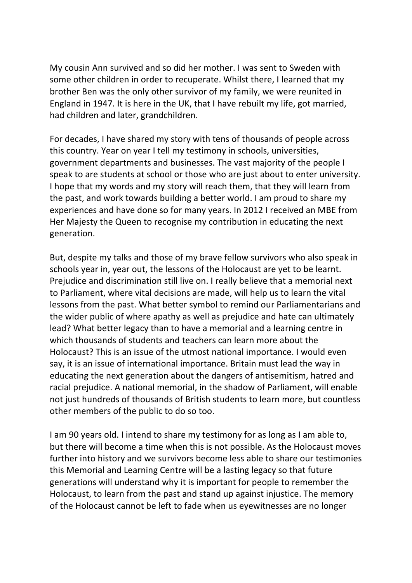My cousin Ann survived and so did her mother. I was sent to Sweden with some other children in order to recuperate. Whilst there, I learned that my brother Ben was the only other survivor of my family, we were reunited in England in 1947. It is here in the UK, that I have rebuilt my life, got married, had children and later, grandchildren.

For decades, I have shared my story with tens of thousands of people across this country. Year on year I tell my testimony in schools, universities, government departments and businesses. The vast majority of the people I speak to are students at school or those who are just about to enter university. I hope that my words and my story will reach them, that they will learn from the past, and work towards building a better world. I am proud to share my experiences and have done so for many years. In 2012 I received an MBE from Her Majesty the Queen to recognise my contribution in educating the next generation.

But, despite my talks and those of my brave fellow survivors who also speak in schools year in, year out, the lessons of the Holocaust are yet to be learnt. Prejudice and discrimination still live on. I really believe that a memorial next to Parliament, where vital decisions are made, will help us to learn the vital lessons from the past. What better symbol to remind our Parliamentarians and the wider public of where apathy as well as prejudice and hate can ultimately lead? What better legacy than to have a memorial and a learning centre in which thousands of students and teachers can learn more about the Holocaust? This is an issue of the utmost national importance. I would even say, it is an issue of international importance. Britain must lead the way in educating the next generation about the dangers of antisemitism, hatred and racial prejudice. A national memorial, in the shadow of Parliament, will enable not just hundreds of thousands of British students to learn more, but countless other members of the public to do so too.

I am 90 years old. I intend to share my testimony for as long as I am able to, but there will become a time when this is not possible. As the Holocaust moves further into history and we survivors become less able to share our testimonies this Memorial and Learning Centre will be a lasting legacy so that future generations will understand why it is important for people to remember the Holocaust, to learn from the past and stand up against injustice. The memory of the Holocaust cannot be left to fade when us eyewitnesses are no longer